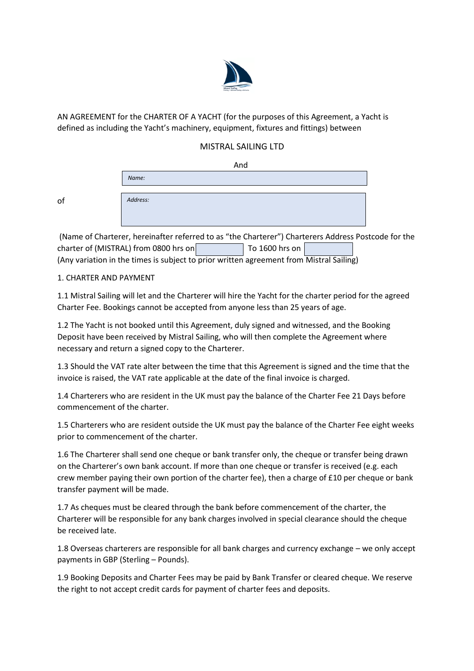

AN AGREEMENT for the CHARTER OF A YACHT (for the purposes of this Agreement, a Yacht is defined as including the Yacht's machinery, equipment, fixtures and fittings) between

# MISTRAL SAILING LTD

|    | And      |
|----|----------|
|    | Name:    |
| of | Address: |

(Name of Charterer, hereinafter referred to as "the Charterer") Charterers Address Postcode for the charter of (MISTRAL) from 0800 hrs on To 1600 hrs on (Any variation in the times is subject to prior written agreement from Mistral Sailing)

### 1. CHARTER AND PAYMENT

of

1.1 Mistral Sailing will let and the Charterer will hire the Yacht for the charter period for the agreed Charter Fee. Bookings cannot be accepted from anyone less than 25 years of age.

1.2 The Yacht is not booked until this Agreement, duly signed and witnessed, and the Booking Deposit have been received by Mistral Sailing, who will then complete the Agreement where necessary and return a signed copy to the Charterer.

1.3 Should the VAT rate alter between the time that this Agreement is signed and the time that the invoice is raised, the VAT rate applicable at the date of the final invoice is charged.

1.4 Charterers who are resident in the UK must pay the balance of the Charter Fee 21 Days before commencement of the charter.

1.5 Charterers who are resident outside the UK must pay the balance of the Charter Fee eight weeks prior to commencement of the charter.

1.6 The Charterer shall send one cheque or bank transfer only, the cheque or transfer being drawn on the Charterer's own bank account. If more than one cheque or transfer is received (e.g. each crew member paying their own portion of the charter fee), then a charge of £10 per cheque or bank transfer payment will be made.

1.7 As cheques must be cleared through the bank before commencement of the charter, the Charterer will be responsible for any bank charges involved in special clearance should the cheque be received late.

1.8 Overseas charterers are responsible for all bank charges and currency exchange – we only accept payments in GBP (Sterling – Pounds).

1.9 Booking Deposits and Charter Fees may be paid by Bank Transfer or cleared cheque. We reserve the right to not accept credit cards for payment of charter fees and deposits.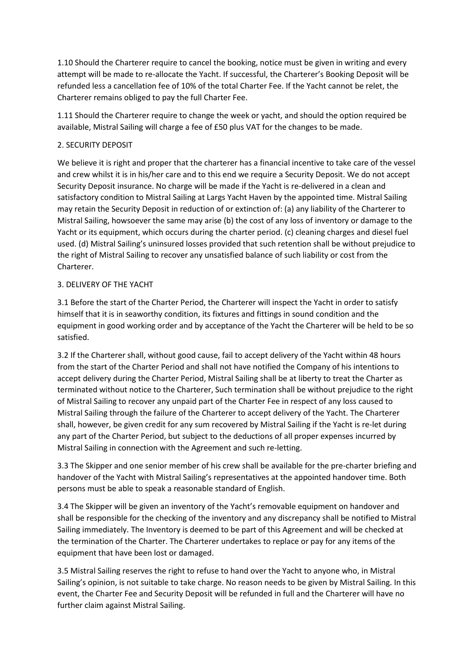1.10 Should the Charterer require to cancel the booking, notice must be given in writing and every attempt will be made to re-allocate the Yacht. If successful, the Charterer's Booking Deposit will be refunded less a cancellation fee of 10% of the total Charter Fee. If the Yacht cannot be relet, the Charterer remains obliged to pay the full Charter Fee.

1.11 Should the Charterer require to change the week or yacht, and should the option required be available, Mistral Sailing will charge a fee of £50 plus VAT for the changes to be made.

### 2. SECURITY DEPOSIT

We believe it is right and proper that the charterer has a financial incentive to take care of the vessel and crew whilst it is in his/her care and to this end we require a Security Deposit. We do not accept Security Deposit insurance. No charge will be made if the Yacht is re-delivered in a clean and satisfactory condition to Mistral Sailing at Largs Yacht Haven by the appointed time. Mistral Sailing may retain the Security Deposit in reduction of or extinction of: (a) any liability of the Charterer to Mistral Sailing, howsoever the same may arise (b) the cost of any loss of inventory or damage to the Yacht or its equipment, which occurs during the charter period. (c) cleaning charges and diesel fuel used. (d) Mistral Sailing's uninsured losses provided that such retention shall be without prejudice to the right of Mistral Sailing to recover any unsatisfied balance of such liability or cost from the Charterer.

### 3. DELIVERY OF THE YACHT

3.1 Before the start of the Charter Period, the Charterer will inspect the Yacht in order to satisfy himself that it is in seaworthy condition, its fixtures and fittings in sound condition and the equipment in good working order and by acceptance of the Yacht the Charterer will be held to be so satisfied.

3.2 If the Charterer shall, without good cause, fail to accept delivery of the Yacht within 48 hours from the start of the Charter Period and shall not have notified the Company of his intentions to accept delivery during the Charter Period, Mistral Sailing shall be at liberty to treat the Charter as terminated without notice to the Charterer, Such termination shall be without prejudice to the right of Mistral Sailing to recover any unpaid part of the Charter Fee in respect of any loss caused to Mistral Sailing through the failure of the Charterer to accept delivery of the Yacht. The Charterer shall, however, be given credit for any sum recovered by Mistral Sailing if the Yacht is re-let during any part of the Charter Period, but subject to the deductions of all proper expenses incurred by Mistral Sailing in connection with the Agreement and such re-letting.

3.3 The Skipper and one senior member of his crew shall be available for the pre-charter briefing and handover of the Yacht with Mistral Sailing's representatives at the appointed handover time. Both persons must be able to speak a reasonable standard of English.

3.4 The Skipper will be given an inventory of the Yacht's removable equipment on handover and shall be responsible for the checking of the inventory and any discrepancy shall be notified to Mistral Sailing immediately. The Inventory is deemed to be part of this Agreement and will be checked at the termination of the Charter. The Charterer undertakes to replace or pay for any items of the equipment that have been lost or damaged.

3.5 Mistral Sailing reserves the right to refuse to hand over the Yacht to anyone who, in Mistral Sailing's opinion, is not suitable to take charge. No reason needs to be given by Mistral Sailing. In this event, the Charter Fee and Security Deposit will be refunded in full and the Charterer will have no further claim against Mistral Sailing.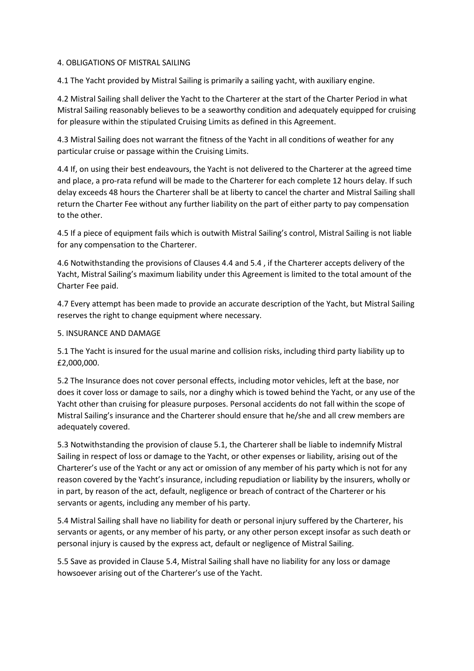#### 4. OBLIGATIONS OF MISTRAL SAILING

4.1 The Yacht provided by Mistral Sailing is primarily a sailing yacht, with auxiliary engine.

4.2 Mistral Sailing shall deliver the Yacht to the Charterer at the start of the Charter Period in what Mistral Sailing reasonably believes to be a seaworthy condition and adequately equipped for cruising for pleasure within the stipulated Cruising Limits as defined in this Agreement.

4.3 Mistral Sailing does not warrant the fitness of the Yacht in all conditions of weather for any particular cruise or passage within the Cruising Limits.

4.4 If, on using their best endeavours, the Yacht is not delivered to the Charterer at the agreed time and place, a pro-rata refund will be made to the Charterer for each complete 12 hours delay. If such delay exceeds 48 hours the Charterer shall be at liberty to cancel the charter and Mistral Sailing shall return the Charter Fee without any further liability on the part of either party to pay compensation to the other.

4.5 If a piece of equipment fails which is outwith Mistral Sailing's control, Mistral Sailing is not liable for any compensation to the Charterer.

4.6 Notwithstanding the provisions of Clauses 4.4 and 5.4 , if the Charterer accepts delivery of the Yacht, Mistral Sailing's maximum liability under this Agreement is limited to the total amount of the Charter Fee paid.

4.7 Every attempt has been made to provide an accurate description of the Yacht, but Mistral Sailing reserves the right to change equipment where necessary.

#### 5. INSURANCE AND DAMAGE

5.1 The Yacht is insured for the usual marine and collision risks, including third party liability up to £2,000,000.

5.2 The Insurance does not cover personal effects, including motor vehicles, left at the base, nor does it cover loss or damage to sails, nor a dinghy which is towed behind the Yacht, or any use of the Yacht other than cruising for pleasure purposes. Personal accidents do not fall within the scope of Mistral Sailing's insurance and the Charterer should ensure that he/she and all crew members are adequately covered.

5.3 Notwithstanding the provision of clause 5.1, the Charterer shall be liable to indemnify Mistral Sailing in respect of loss or damage to the Yacht, or other expenses or liability, arising out of the Charterer's use of the Yacht or any act or omission of any member of his party which is not for any reason covered by the Yacht's insurance, including repudiation or liability by the insurers, wholly or in part, by reason of the act, default, negligence or breach of contract of the Charterer or his servants or agents, including any member of his party.

5.4 Mistral Sailing shall have no liability for death or personal injury suffered by the Charterer, his servants or agents, or any member of his party, or any other person except insofar as such death or personal injury is caused by the express act, default or negligence of Mistral Sailing.

5.5 Save as provided in Clause 5.4, Mistral Sailing shall have no liability for any loss or damage howsoever arising out of the Charterer's use of the Yacht.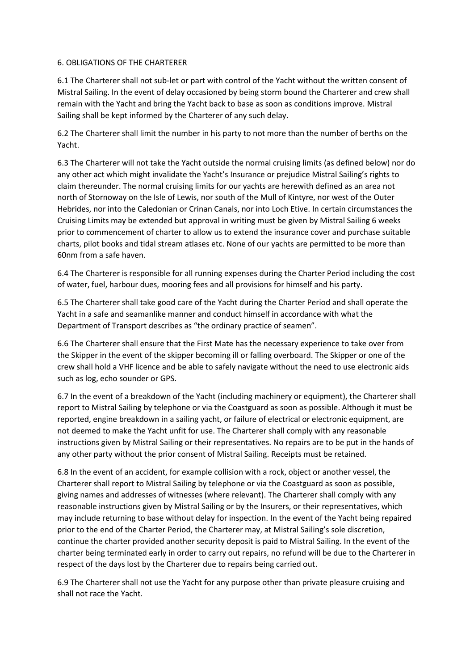### 6. OBLIGATIONS OF THE CHARTERER

6.1 The Charterer shall not sub-let or part with control of the Yacht without the written consent of Mistral Sailing. In the event of delay occasioned by being storm bound the Charterer and crew shall remain with the Yacht and bring the Yacht back to base as soon as conditions improve. Mistral Sailing shall be kept informed by the Charterer of any such delay.

6.2 The Charterer shall limit the number in his party to not more than the number of berths on the Yacht.

6.3 The Charterer will not take the Yacht outside the normal cruising limits (as defined below) nor do any other act which might invalidate the Yacht's Insurance or prejudice Mistral Sailing's rights to claim thereunder. The normal cruising limits for our yachts are herewith defined as an area not north of Stornoway on the Isle of Lewis, nor south of the Mull of Kintyre, nor west of the Outer Hebrides, nor into the Caledonian or Crinan Canals, nor into Loch Etive. In certain circumstances the Cruising Limits may be extended but approval in writing must be given by Mistral Sailing 6 weeks prior to commencement of charter to allow us to extend the insurance cover and purchase suitable charts, pilot books and tidal stream atlases etc. None of our yachts are permitted to be more than 60nm from a safe haven.

6.4 The Charterer is responsible for all running expenses during the Charter Period including the cost of water, fuel, harbour dues, mooring fees and all provisions for himself and his party.

6.5 The Charterer shall take good care of the Yacht during the Charter Period and shall operate the Yacht in a safe and seamanlike manner and conduct himself in accordance with what the Department of Transport describes as "the ordinary practice of seamen".

6.6 The Charterer shall ensure that the First Mate has the necessary experience to take over from the Skipper in the event of the skipper becoming ill or falling overboard. The Skipper or one of the crew shall hold a VHF licence and be able to safely navigate without the need to use electronic aids such as log, echo sounder or GPS.

6.7 In the event of a breakdown of the Yacht (including machinery or equipment), the Charterer shall report to Mistral Sailing by telephone or via the Coastguard as soon as possible. Although it must be reported, engine breakdown in a sailing yacht, or failure of electrical or electronic equipment, are not deemed to make the Yacht unfit for use. The Charterer shall comply with any reasonable instructions given by Mistral Sailing or their representatives. No repairs are to be put in the hands of any other party without the prior consent of Mistral Sailing. Receipts must be retained.

6.8 In the event of an accident, for example collision with a rock, object or another vessel, the Charterer shall report to Mistral Sailing by telephone or via the Coastguard as soon as possible, giving names and addresses of witnesses (where relevant). The Charterer shall comply with any reasonable instructions given by Mistral Sailing or by the Insurers, or their representatives, which may include returning to base without delay for inspection. In the event of the Yacht being repaired prior to the end of the Charter Period, the Charterer may, at Mistral Sailing's sole discretion, continue the charter provided another security deposit is paid to Mistral Sailing. In the event of the charter being terminated early in order to carry out repairs, no refund will be due to the Charterer in respect of the days lost by the Charterer due to repairs being carried out.

6.9 The Charterer shall not use the Yacht for any purpose other than private pleasure cruising and shall not race the Yacht.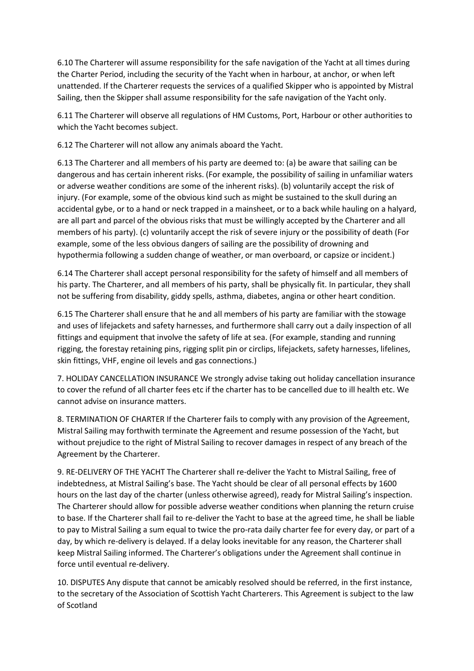6.10 The Charterer will assume responsibility for the safe navigation of the Yacht at all times during the Charter Period, including the security of the Yacht when in harbour, at anchor, or when left unattended. If the Charterer requests the services of a qualified Skipper who is appointed by Mistral Sailing, then the Skipper shall assume responsibility for the safe navigation of the Yacht only.

6.11 The Charterer will observe all regulations of HM Customs, Port, Harbour or other authorities to which the Yacht becomes subject.

6.12 The Charterer will not allow any animals aboard the Yacht.

6.13 The Charterer and all members of his party are deemed to: (a) be aware that sailing can be dangerous and has certain inherent risks. (For example, the possibility of sailing in unfamiliar waters or adverse weather conditions are some of the inherent risks). (b) voluntarily accept the risk of injury. (For example, some of the obvious kind such as might be sustained to the skull during an accidental gybe, or to a hand or neck trapped in a mainsheet, or to a back while hauling on a halyard, are all part and parcel of the obvious risks that must be willingly accepted by the Charterer and all members of his party). (c) voluntarily accept the risk of severe injury or the possibility of death (For example, some of the less obvious dangers of sailing are the possibility of drowning and hypothermia following a sudden change of weather, or man overboard, or capsize or incident.)

6.14 The Charterer shall accept personal responsibility for the safety of himself and all members of his party. The Charterer, and all members of his party, shall be physically fit. In particular, they shall not be suffering from disability, giddy spells, asthma, diabetes, angina or other heart condition.

6.15 The Charterer shall ensure that he and all members of his party are familiar with the stowage and uses of lifejackets and safety harnesses, and furthermore shall carry out a daily inspection of all fittings and equipment that involve the safety of life at sea. (For example, standing and running rigging, the forestay retaining pins, rigging split pin or circlips, lifejackets, safety harnesses, lifelines, skin fittings, VHF, engine oil levels and gas connections.)

7. HOLIDAY CANCELLATION INSURANCE We strongly advise taking out holiday cancellation insurance to cover the refund of all charter fees etc if the charter has to be cancelled due to ill health etc. We cannot advise on insurance matters.

8. TERMINATION OF CHARTER If the Charterer fails to comply with any provision of the Agreement, Mistral Sailing may forthwith terminate the Agreement and resume possession of the Yacht, but without prejudice to the right of Mistral Sailing to recover damages in respect of any breach of the Agreement by the Charterer.

9. RE-DELIVERY OF THE YACHT The Charterer shall re-deliver the Yacht to Mistral Sailing, free of indebtedness, at Mistral Sailing's base. The Yacht should be clear of all personal effects by 1600 hours on the last day of the charter (unless otherwise agreed), ready for Mistral Sailing's inspection. The Charterer should allow for possible adverse weather conditions when planning the return cruise to base. If the Charterer shall fail to re-deliver the Yacht to base at the agreed time, he shall be liable to pay to Mistral Sailing a sum equal to twice the pro-rata daily charter fee for every day, or part of a day, by which re-delivery is delayed. If a delay looks inevitable for any reason, the Charterer shall keep Mistral Sailing informed. The Charterer's obligations under the Agreement shall continue in force until eventual re-delivery.

10. DISPUTES Any dispute that cannot be amicably resolved should be referred, in the first instance, to the secretary of the Association of Scottish Yacht Charterers. This Agreement is subject to the law of Scotland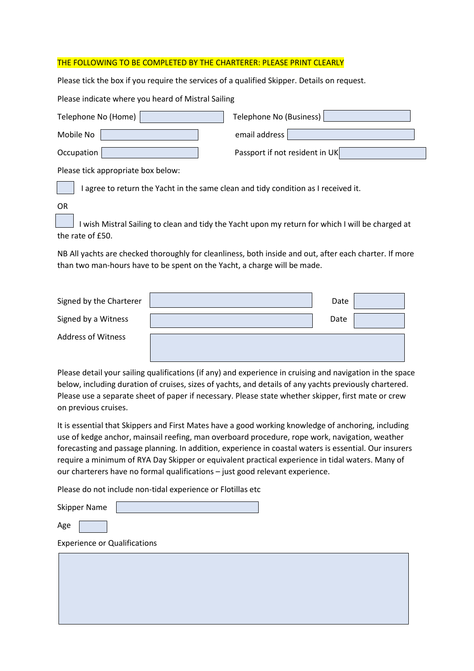#### THE FOLLOWING TO BE COMPLETED BY THE CHARTERER: PLEASE PRINT CLEARLY

Please tick the box if you require the services of a qualified Skipper. Details on request.

Please indicate where you heard of Mistral Sailing

| Telephone No (Home) | Telephone No (Business)        |
|---------------------|--------------------------------|
| Mobile No           | email address                  |
| Occupation          | Passport if not resident in UK |

Please tick appropriate box below:

I agree to return the Yacht in the same clean and tidy condition as I received it.

OR

 I wish Mistral Sailing to clean and tidy the Yacht upon my return for which I will be charged at the rate of £50.

NB All yachts are checked thoroughly for cleanliness, both inside and out, after each charter. If more than two man-hours have to be spent on the Yacht, a charge will be made.

| Signed by the Charterer   | Date |  |
|---------------------------|------|--|
| Signed by a Witness       | Date |  |
| <b>Address of Witness</b> |      |  |

Please detail your sailing qualifications (if any) and experience in cruising and navigation in the space below, including duration of cruises, sizes of yachts, and details of any yachts previously chartered. Please use a separate sheet of paper if necessary. Please state whether skipper, first mate or crew on previous cruises.

It is essential that Skippers and First Mates have a good working knowledge of anchoring, including use of kedge anchor, mainsail reefing, man overboard procedure, rope work, navigation, weather forecasting and passage planning. In addition, experience in coastal waters is essential. Our insurers require a minimum of RYA Day Skipper or equivalent practical experience in tidal waters. Many of our charterers have no formal qualifications – just good relevant experience.

Please do not include non-tidal experience or Flotillas etc

Skipper Name

Age

Experience or Qualifications